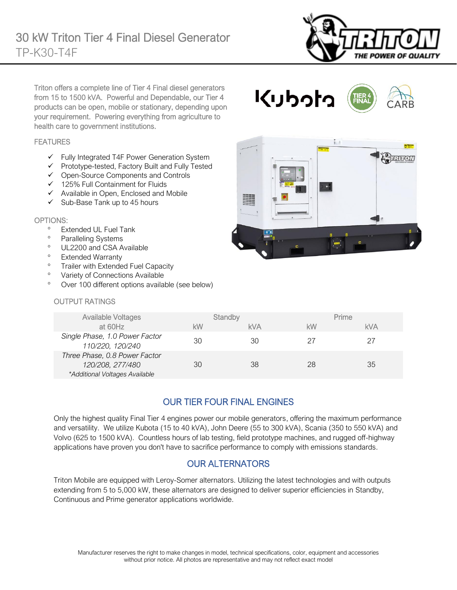

Triton offers a complete line of Tier 4 Final diesel generators from 15 to 1500 kVA. Powerful and Dependable, our Tier 4 products can be open, mobile or stationary, depending upon your requirement. Powering everything from agriculture to health care to government institutions.

### FEATURES

- ✓ Fully Integrated T4F Power Generation System
- ✓ Prototype-tested, Factory Built and Fully Tested
- ✓ Open-Source Components and Controls
- ✓ 125% Full Containment for Fluids
- ✓ Available in Open, Enclosed and Mobile
- $\checkmark$  Sub-Base Tank up to 45 hours

#### OPTIONS:

- Extended UL Fuel Tank
- <sup>o</sup> Paralleling Systems
- <sup>o</sup> UL2200 and CSA Available
- Extended Warranty
- <sup>o</sup> Trailer with Extended Fuel Capacity
- <sup>o</sup> Variety of Connections Available
- Over 100 different options available (see below)

### OUTPUT RATINGS

| . .       |                                                                                                              | Avidnon            |
|-----------|--------------------------------------------------------------------------------------------------------------|--------------------|
| 3332<br>里 | $\tilde{\mathbf{v}}$<br>$\bullet$<br>$\bullet$<br><b>BBBB</b><br>$\sim$<br><b>STORY Liquide</b><br>$\bullet$ |                    |
|           |                                                                                                              |                    |
|           | 彏<br>$V$ $V$<br>$\overline{a}$                                                                               | n<br>$-$<br>٠<br>ø |

くりっけっ

| <b>Available Voltages</b>                                                           |    | Standby    |    | Prime      |
|-------------------------------------------------------------------------------------|----|------------|----|------------|
| at 60Hz                                                                             | kW | <b>kVA</b> | kW | <b>kVA</b> |
| Single Phase, 1.0 Power Factor<br>110/220, 120/240                                  | 30 | 30         | 27 | 27         |
| Three Phase, 0.8 Power Factor<br>120/208, 277/480<br>*Additional Voltages Available | 30 | 38         | 28 | 35         |

## OUR TIER FOUR FINAL ENGINES

Only the highest quality Final Tier 4 engines power our mobile generators, offering the maximum performance and versatility. We utilize Kubota (15 to 40 kVA), John Deere (55 to 300 kVA), Scania (350 to 550 kVA) and Volvo (625 to 1500 kVA). Countless hours of lab testing, field prototype machines, and rugged off-highway applications have proven you don't have to sacrifice performance to comply with emissions standards.

## OUR ALTERNATORS

Triton Mobile are equipped with Leroy-Somer alternators. Utilizing the latest technologies and with outputs extending from 5 to 5,000 kW, these alternators are designed to deliver superior efficiencies in Standby, Continuous and Prime generator applications worldwide.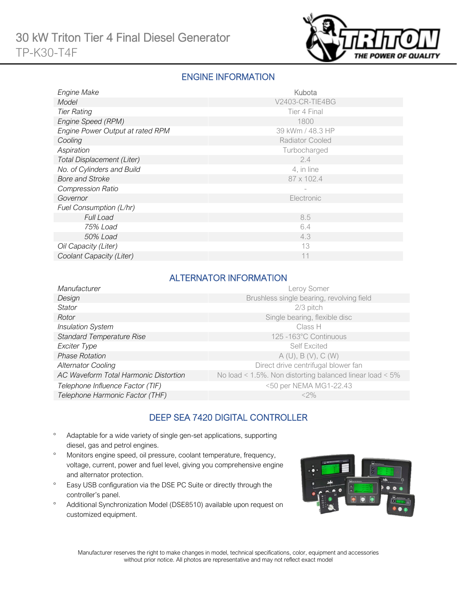

## ENGINE INFORMATION

| Engine Make                      | Kubota           |
|----------------------------------|------------------|
| Model                            | V2403-CR-TIE4BG  |
| <b>Tier Rating</b>               | Tier 4 Final     |
| Engine Speed (RPM)               | 1800             |
| Engine Power Output at rated RPM | 39 kWm / 48.3 HP |
| Cooling                          | Radiator Cooled  |
| Aspiration                       | Turbocharged     |
| Total Displacement (Liter)       | 2.4              |
| No. of Cylinders and Build       | 4, in line       |
| <b>Bore and Stroke</b>           | 87 x 102.4       |
| <b>Compression Ratio</b>         |                  |
| Governor                         | Electronic       |
| Fuel Consumption (L/hr)          |                  |
| <b>Full Load</b>                 | 8.5              |
| 75% Load                         | 6.4              |
| 50% Load                         | 4.3              |
| Oil Capacity (Liter)             | 13               |
| Coolant Capacity (Liter)         | 11               |

### ALTERNATOR INFORMATION

| Manufacturer                          | Leroy Somer                                                     |
|---------------------------------------|-----------------------------------------------------------------|
| Design                                | Brushless single bearing, revolving field                       |
| <b>Stator</b>                         | 2/3 pitch                                                       |
| Rotor                                 | Single bearing, flexible disc                                   |
| <b>Insulation System</b>              | Class H                                                         |
| <b>Standard Temperature Rise</b>      | 125 -163°C Continuous                                           |
| Exciter Type                          | <b>Self Excited</b>                                             |
| <b>Phase Rotation</b>                 | A(U), B(V), C(W)                                                |
| <b>Alternator Cooling</b>             | Direct drive centrifugal blower fan                             |
| AC Waveform Total Harmonic Distortion | No load < $1.5\%$ . Non distorting balanced linear load < $5\%$ |
| Telephone Influence Factor (TIF)      | <50 per NEMA MG1-22.43                                          |
| Telephone Harmonic Factor (THF)       | $<$ 2%                                                          |

## DEEP SEA 7420 DIGITAL CONTROLLER

- Adaptable for a wide variety of single gen-set applications, supporting diesel, gas and petrol engines.
- Monitors engine speed, oil pressure, coolant temperature, frequency, voltage, current, power and fuel level, giving you comprehensive engine and alternator protection.
- <sup>o</sup> Easy USB configuration via the DSE PC Suite or directly through the controller's panel.
- Additional Synchronization Model (DSE8510) available upon request on customized equipment.

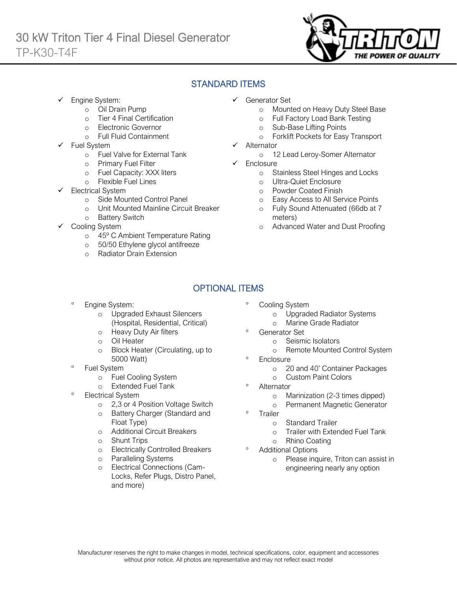

## STANDARD ITEMS

Engine System:

Ī

- o Oil Drain Pump
- o Tier 4 Final Certification
- o Electronic Governor
- o Full Fluid Containment
- Fuel System
	- o Fuel Valve for External Tank
	- o Primary Fuel Filter
	- o Fuel Capacity: XXX liters
	- o Flexible Fuel Lines
- Electrical System
	- o Side Mounted Control Panel
	- o Unit Mounted Mainline Circuit Breaker
	- o Battery Switch
- Cooling System
	- o 45º C Ambient Temperature Rating
	- o 50/50 Ethylene glycol antifreeze
	- o Radiator Drain Extension
- ✓ Generator Set
	- o Mounted on Heavy Duty Steel Base
	- o Full Factory Load Bank Testing
	- o Sub-Base Lifting Points
	- o Forklift Pockets for Easy Transport
- **Alternator** 
	- o 12 Lead Leroy-Somer Alternator
- ✓ Enclosure
	- o Stainless Steel Hinges and Locks
	- o Ultra-Quiet Enclosure
	- o Powder Coated Finish
	- o Easy Access to All Service Points
	- o Fully Sound Attenuated (66db at 7 meters)
	- o Advanced Water and Dust Proofing

# OPTIONAL ITEMS

- Engine System:
	- o Upgraded Exhaust Silencers (Hospital, Residential, Critical)
	- o Heavy Duty Air filters
	- o Oil Heater
	- o Block Heater (Circulating, up to 5000 Watt)
- Fuel System
	- o Fuel Cooling System
	- o Extended Fuel Tank
- Electrical System
	- o 2,3 or 4 Position Voltage Switch
	- o Battery Charger (Standard and Float Type)
	- o Additional Circuit Breakers
	- o Shunt Trips
	- o Electrically Controlled Breakers
	- o Paralleling Systems
	- Electrical Connections (Cam-Locks, Refer Plugs, Distro Panel, and more)
- Cooling System
	- o Upgraded Radiator Systems
	- o Marine Grade Radiator
- Generator Set
	- o Seismic Isolators
	- o Remote Mounted Control System
- <sup>o</sup> Enclosure
	- o 20 and 40' Container Packages
	- o Custom Paint Colors
- <sup>o</sup> Alternator
	- o Marinization (2-3 times dipped)
	- o Permanent Magnetic Generator
- <sup>o</sup> Trailer
	- o Standard Trailer
	- o Trailer with Extended Fuel Tank
	- o Rhino Coating

### Additional Options

o Please inquire, Triton can assist in engineering nearly any option